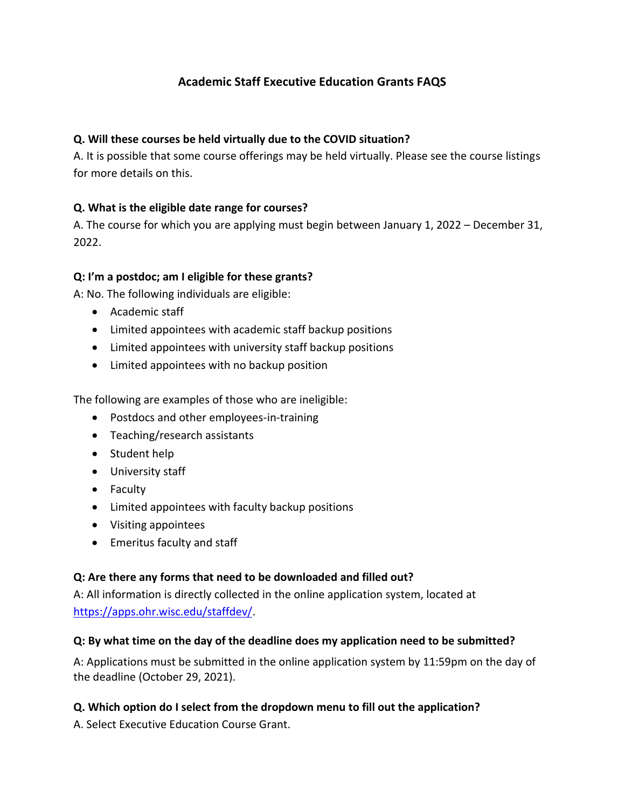# **Academic Staff Executive Education Grants FAQS**

## **Q. Will these courses be held virtually due to the COVID situation?**

A. It is possible that some course offerings may be held virtually. Please see the course listings for more details on this.

## **Q. What is the eligible date range for courses?**

A. The course for which you are applying must begin between January 1, 2022 – December 31, 2022.

#### **Q: I'm a postdoc; am I eligible for these grants?**

A: No. The following individuals are eligible:

- Academic staff
- Limited appointees with academic staff backup positions
- Limited appointees with university staff backup positions
- Limited appointees with no backup position

The following are examples of those who are ineligible:

- Postdocs and other employees-in-training
- Teaching/research assistants
- Student help
- University staff
- Faculty
- Limited appointees with faculty backup positions
- Visiting appointees
- Emeritus faculty and staff

#### **Q: Are there any forms that need to be downloaded and filled out?**

A: All information is directly collected in the online application system, located at [https://apps.ohr.wisc.edu/staffdev/.](https://apps.ohr.wisc.edu/staffdev/)

#### **Q: By what time on the day of the deadline does my application need to be submitted?**

A: Applications must be submitted in the online application system by 11:59pm on the day of the deadline (October 29, 2021).

#### **Q. Which option do I select from the dropdown menu to fill out the application?**

A. Select Executive Education Course Grant.